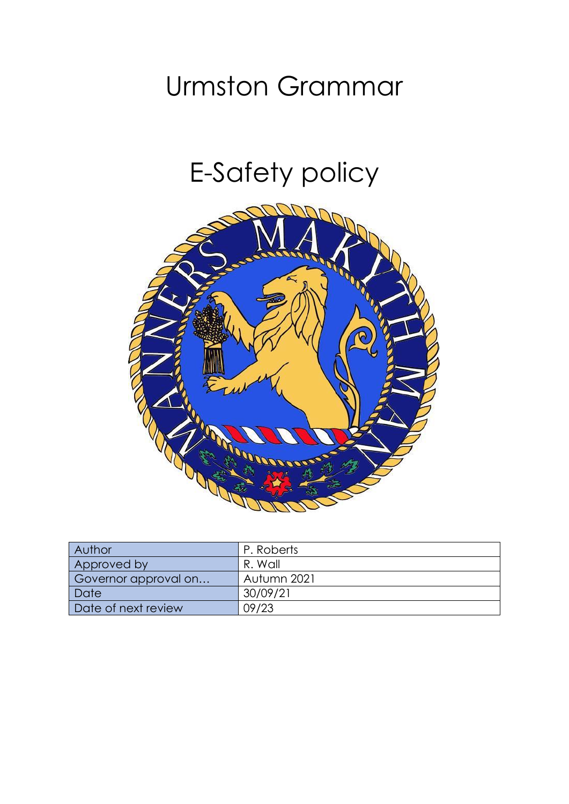# Urmston Grammar

# E-Safety policy



| Author               | P. Roberts  |
|----------------------|-------------|
| Approved by          | R. Wall     |
| Governor approval on | Autumn 2021 |
| Date                 | 30/09/21    |
| Date of next review  | 09/23       |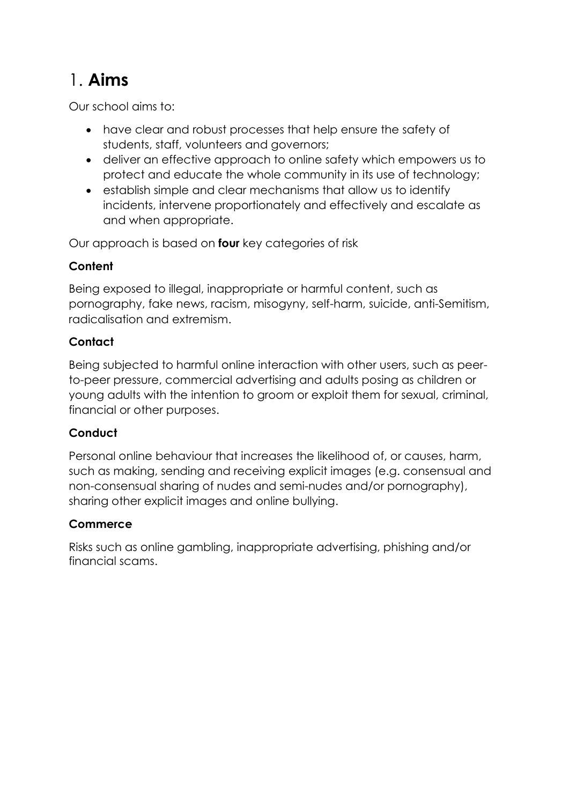# 1. **Aims**

Our school aims to:

- have clear and robust processes that help ensure the safety of students, staff, volunteers and governors;
- deliver an effective approach to online safety which empowers us to protect and educate the whole community in its use of technology;
- establish simple and clear mechanisms that allow us to identify incidents, intervene proportionately and effectively and escalate as and when appropriate.

Our approach is based on **four** key categories of risk

#### **Content**

Being exposed to illegal, inappropriate or harmful content, such as pornography, fake news, racism, misogyny, self-harm, suicide, anti-Semitism, radicalisation and extremism.

#### **Contact**

Being subjected to harmful online interaction with other users, such as peerto-peer pressure, commercial advertising and adults posing as children or young adults with the intention to groom or exploit them for sexual, criminal, financial or other purposes.

#### **Conduct**

Personal online behaviour that increases the likelihood of, or causes, harm, such as making, sending and receiving explicit images (e.g. consensual and non-consensual sharing of nudes and semi-nudes and/or pornography), sharing other explicit images and online bullying.

#### **Commerce**

Risks such as online gambling, inappropriate advertising, phishing and/or financial scams.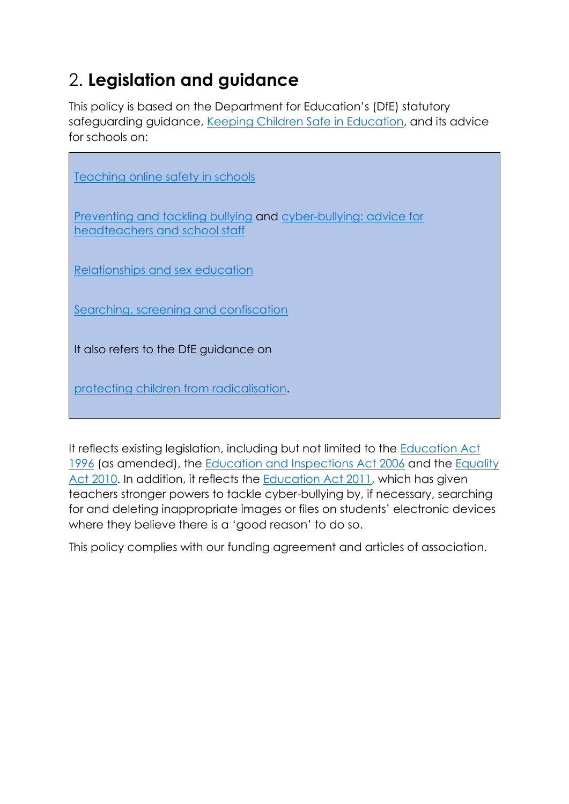### 2. **Legislation and guidance**

This policy is based on the Department for Education's (DfE) statutory safeguarding guidance, [Keeping Children Safe in Education,](https://www.gov.uk/government/publications/keeping-children-safe-in-education--2) and its advice for schools on:

| Teaching online safety in schools                                                                |
|--------------------------------------------------------------------------------------------------|
| Preventing and tackling bullying and cyber-bullying: advice for<br>headteachers and school staff |
| Relationships and sex education                                                                  |
| Searching, screening and confiscation                                                            |
| It also refers to the DfE guidance on                                                            |
| protecting children from radicalisation.                                                         |

It reflects existing legislation, including but not limited to the [Education Act](https://www.legislation.gov.uk/ukpga/1996/56/contents)  [1996](https://www.legislation.gov.uk/ukpga/1996/56/contents) (as amended), the [Education and Inspections Act 2006](https://www.legislation.gov.uk/ukpga/2006/40/contents) and the [Equality](https://www.legislation.gov.uk/ukpga/2010/15/contents)  [Act 2010.](https://www.legislation.gov.uk/ukpga/2010/15/contents) In addition, it reflects the [Education Act 2011,](http://www.legislation.gov.uk/ukpga/2011/21/contents/enacted) which has given teachers stronger powers to tackle cyber-bullying by, if necessary, searching for and deleting inappropriate images or files on students' electronic devices where they believe there is a 'good reason' to do so.

This policy complies with our funding agreement and articles of association.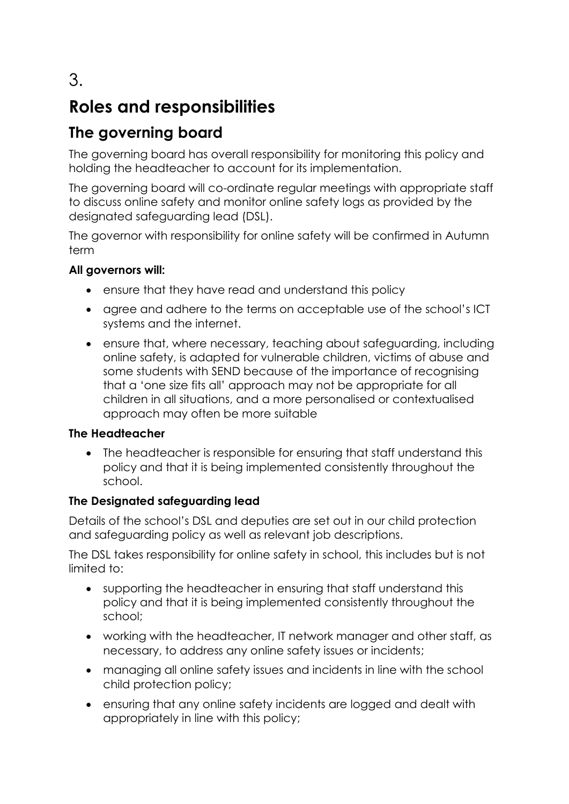### **Roles and responsibilities**

### **The governing board**

The governing board has overall responsibility for monitoring this policy and holding the headteacher to account for its implementation.

The governing board will co-ordinate regular meetings with appropriate staff to discuss online safety and monitor online safety logs as provided by the designated safeguarding lead (DSL).

The governor with responsibility for online safety will be confirmed in Autumn term

#### **All governors will:**

- ensure that they have read and understand this policy
- agree and adhere to the terms on acceptable use of the school's ICT systems and the internet.
- ensure that, where necessary, teaching about safeguarding, including online safety, is adapted for vulnerable children, victims of abuse and some students with SEND because of the importance of recognising that a 'one size fits all' approach may not be appropriate for all children in all situations, and a more personalised or contextualised approach may often be more suitable

#### **The Headteacher**

• The headteacher is responsible for ensuring that staff understand this policy and that it is being implemented consistently throughout the school.

#### **The Designated safeguarding lead**

Details of the school's DSL and deputies are set out in our child protection and safeguarding policy as well as relevant job descriptions.

The DSL takes responsibility for online safety in school, this includes but is not limited to:

- supporting the headteacher in ensuring that staff understand this policy and that it is being implemented consistently throughout the school;
- working with the headteacher, IT network manager and other staff, as necessary, to address any online safety issues or incidents;
- managing all online safety issues and incidents in line with the school child protection policy;
- ensuring that any online safety incidents are logged and dealt with appropriately in line with this policy;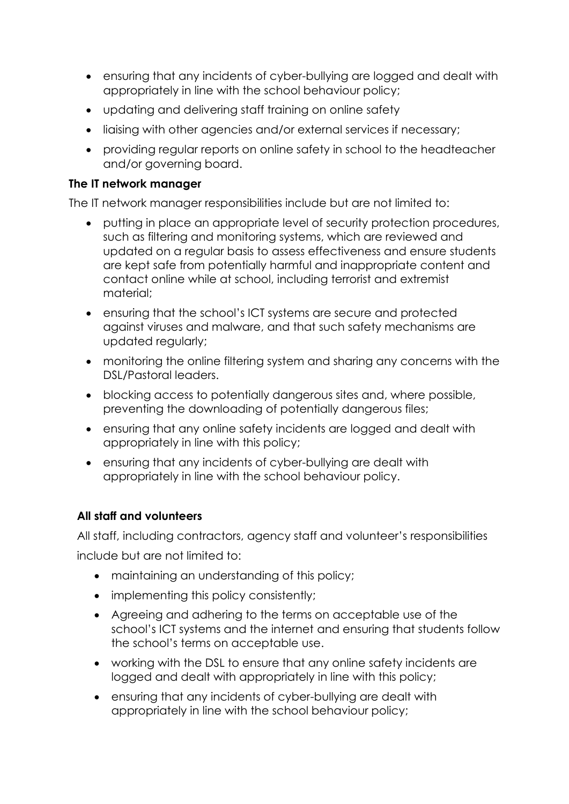- ensuring that any incidents of cyber-bullying are logged and dealt with appropriately in line with the school behaviour policy;
- updating and delivering staff training on online safety
- liaising with other agencies and/or external services if necessary;
- providing regular reports on online safety in school to the headteacher and/or governing board.

#### **The IT network manager**

The IT network manager responsibilities include but are not limited to:

- putting in place an appropriate level of security protection procedures, such as filtering and monitoring systems, which are reviewed and updated on a regular basis to assess effectiveness and ensure students are kept safe from potentially harmful and inappropriate content and contact online while at school, including terrorist and extremist material;
- ensuring that the school's ICT systems are secure and protected against viruses and malware, and that such safety mechanisms are updated regularly;
- monitoring the online filtering system and sharing any concerns with the DSL/Pastoral leaders.
- blocking access to potentially dangerous sites and, where possible, preventing the downloading of potentially dangerous files;
- ensuring that any online safety incidents are logged and dealt with appropriately in line with this policy;
- ensuring that any incidents of cyber-bullying are dealt with appropriately in line with the school behaviour policy.

#### **All staff and volunteers**

All staff, including contractors, agency staff and volunteer's responsibilities include but are not limited to:

- maintaining an understanding of this policy;
- implementing this policy consistently;
- Agreeing and adhering to the terms on acceptable use of the school's ICT systems and the internet and ensuring that students follow the school's terms on acceptable use.
- working with the DSL to ensure that any online safety incidents are logged and dealt with appropriately in line with this policy;
- ensuring that any incidents of cyber-bullying are dealt with appropriately in line with the school behaviour policy;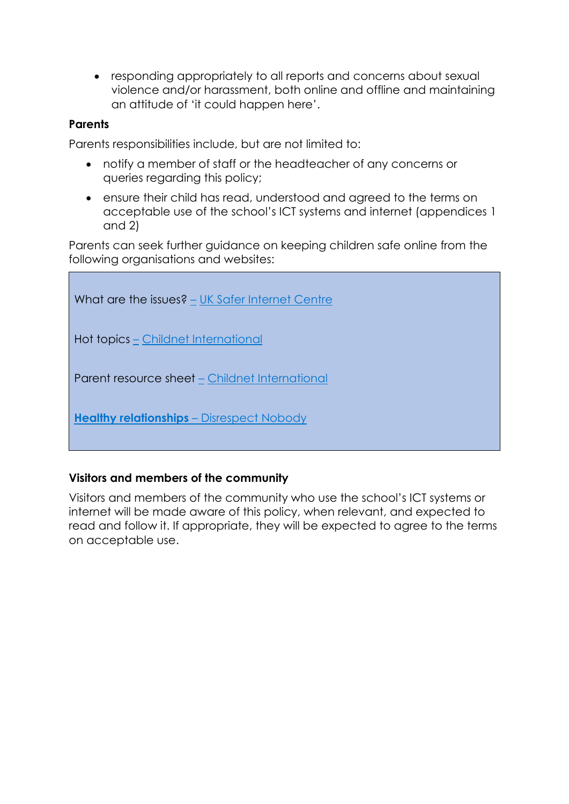• responding appropriately to all reports and concerns about sexual violence and/or harassment, both online and offline and maintaining an attitude of 'it could happen here'.

#### **Parents**

Parents responsibilities include, but are not limited to:

- notify a member of staff or the headteacher of any concerns or queries regarding this policy;
- ensure their child has read, understood and agreed to the terms on acceptable use of the school's ICT systems and internet (appendices 1 and 2)

Parents can seek further guidance on keeping children safe online from the following organisations and websites:

| What are the issues? – UK Safer Internet Centre  |
|--------------------------------------------------|
| Hot topics – Childnet International              |
| Parent resource sheet - Childnet International   |
| <b>Healthy relationships</b> – Disrespect Nobody |

#### **Visitors and members of the community**

Visitors and members of the community who use the school's ICT systems or internet will be made aware of this policy, when relevant, and expected to read and follow it. If appropriate, they will be expected to agree to the terms on acceptable use.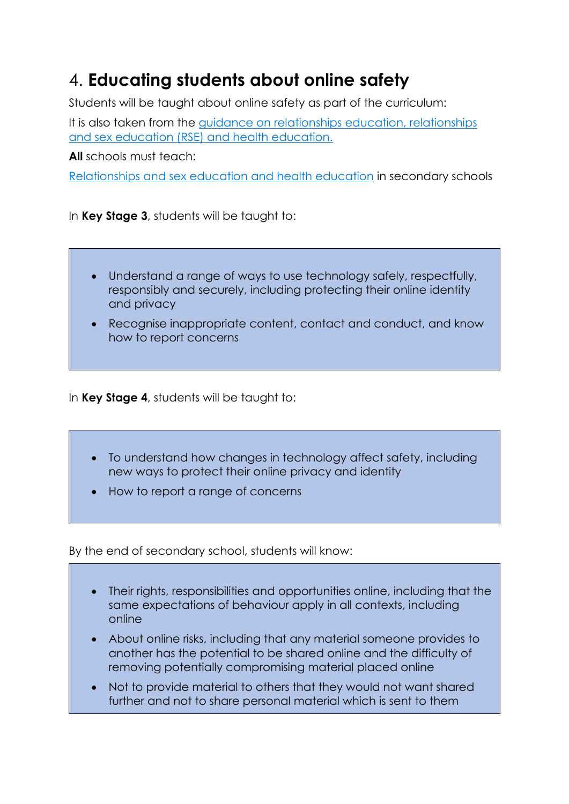### 4. **Educating students about online safety**

Students will be taught about online safety as part of the curriculum:

It is also taken from the [guidance on relationships education, relationships](https://www.gov.uk/government/publications/relationships-education-relationships-and-sex-education-rse-and-health-education)  [and sex education \(RSE\) and health education.](https://www.gov.uk/government/publications/relationships-education-relationships-and-sex-education-rse-and-health-education)

**All** schools must teach:

[Relationships and sex education and health education](https://schoolleaders.thekeysupport.com/uid/66a1d83e-2fb9-411e-91f1-fe52a09d16d1/) in secondary schools

In **Key Stage 3**, students will be taught to:

- Understand a range of ways to use technology safely, respectfully, responsibly and securely, including protecting their online identity and privacy
- Recognise inappropriate content, contact and conduct, and know how to report concerns

In **Key Stage 4**, students will be taught to:

- To understand how changes in technology affect safety, including new ways to protect their online privacy and identity
- How to report a range of concerns

By the end of secondary school, students will know:

- Their rights, responsibilities and opportunities online, including that the same expectations of behaviour apply in all contexts, including online
- About online risks, including that any material someone provides to another has the potential to be shared online and the difficulty of removing potentially compromising material placed online
- Not to provide material to others that they would not want shared further and not to share personal material which is sent to them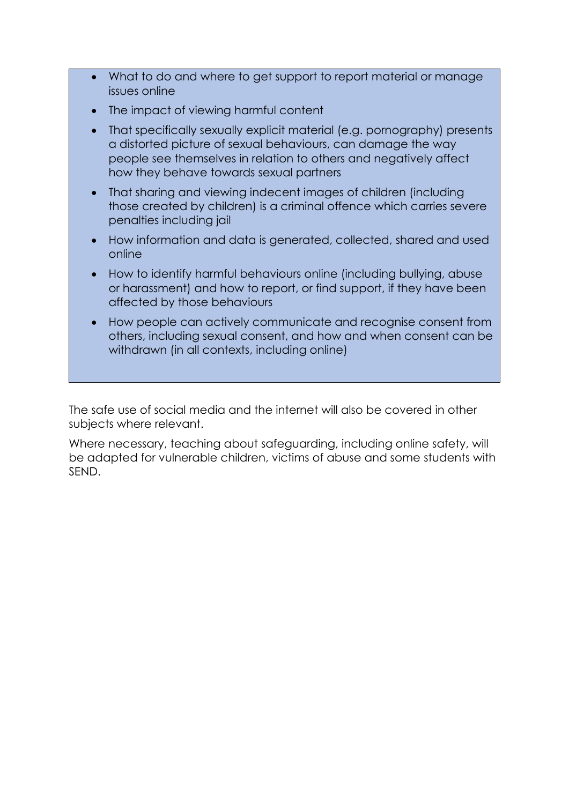- What to do and where to get support to report material or manage issues online
- The impact of viewing harmful content
- That specifically sexually explicit material (e.g. pornography) presents a distorted picture of sexual behaviours, can damage the way people see themselves in relation to others and negatively affect how they behave towards sexual partners
- That sharing and viewing indecent images of children (including those created by children) is a criminal offence which carries severe penalties including jail
- How information and data is generated, collected, shared and used online
- How to identify harmful behaviours online (including bullying, abuse or harassment) and how to report, or find support, if they have been affected by those behaviours
- How people can actively communicate and recognise consent from others, including sexual consent, and how and when consent can be withdrawn (in all contexts, including online)

The safe use of social media and the internet will also be covered in other subjects where relevant.

Where necessary, teaching about safeguarding, including online safety, will be adapted for vulnerable children, victims of abuse and some students with SEND.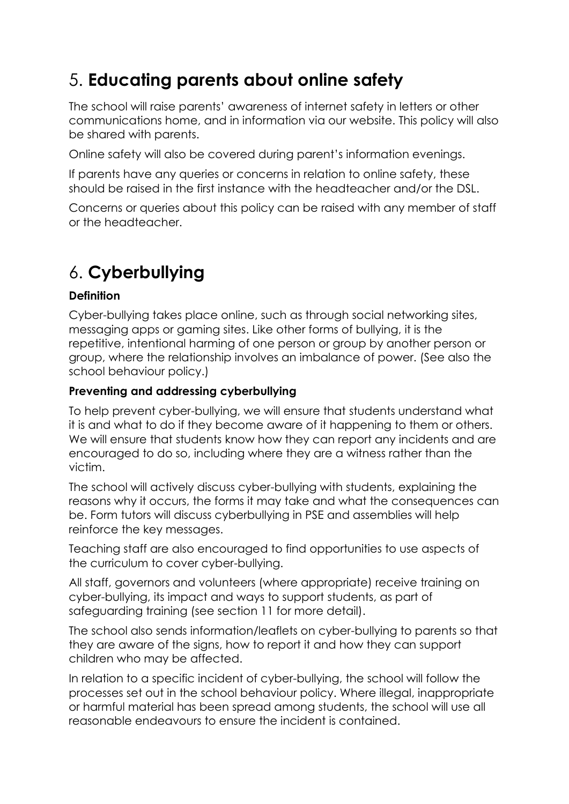### 5. **Educating parents about online safety**

The school will raise parents' awareness of internet safety in letters or other communications home, and in information via our website. This policy will also be shared with parents.

Online safety will also be covered during parent's information evenings.

If parents have any queries or concerns in relation to online safety, these should be raised in the first instance with the headteacher and/or the DSL.

Concerns or queries about this policy can be raised with any member of staff or the headteacher.

# 6. **Cyberbullying**

#### **Definition**

Cyber-bullying takes place online, such as through social networking sites, messaging apps or gaming sites. Like other forms of bullying, it is the repetitive, intentional harming of one person or group by another person or group, where the relationship involves an imbalance of power. (See also the school behaviour policy.)

#### **Preventing and addressing cyberbullying**

To help prevent cyber-bullying, we will ensure that students understand what it is and what to do if they become aware of it happening to them or others. We will ensure that students know how they can report any incidents and are encouraged to do so, including where they are a witness rather than the victim.

The school will actively discuss cyber-bullying with students, explaining the reasons why it occurs, the forms it may take and what the consequences can be. Form tutors will discuss cyberbullying in PSE and assemblies will help reinforce the key messages.

Teaching staff are also encouraged to find opportunities to use aspects of the curriculum to cover cyber-bullying.

All staff, governors and volunteers (where appropriate) receive training on cyber-bullying, its impact and ways to support students, as part of safeguarding training (see section 11 for more detail).

The school also sends information/leaflets on cyber-bullying to parents so that they are aware of the signs, how to report it and how they can support children who may be affected.

In relation to a specific incident of cyber-bullying, the school will follow the processes set out in the school behaviour policy. Where illegal, inappropriate or harmful material has been spread among students, the school will use all reasonable endeavours to ensure the incident is contained.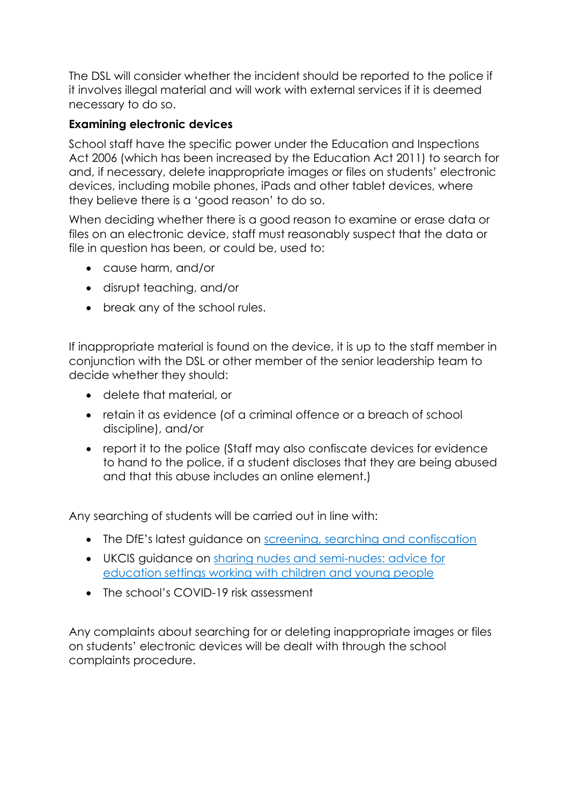The DSL will consider whether the incident should be reported to the police if it involves illegal material and will work with external services if it is deemed necessary to do so.

#### **Examining electronic devices**

School staff have the specific power under the Education and Inspections Act 2006 (which has been increased by the Education Act 2011) to search for and, if necessary, delete inappropriate images or files on students' electronic devices, including mobile phones, iPads and other tablet devices, where they believe there is a 'good reason' to do so.

When deciding whether there is a good reason to examine or erase data or files on an electronic device, staff must reasonably suspect that the data or file in question has been, or could be, used to:

- cause harm, and/or
- disrupt teaching, and/or
- break any of the school rules.

If inappropriate material is found on the device, it is up to the staff member in conjunction with the DSL or other member of the senior leadership team to decide whether they should:

- delete that material, or
- retain it as evidence (of a criminal offence or a breach of school discipline), and/or
- report it to the police (Staff may also confiscate devices for evidence to hand to the police, if a student discloses that they are being abused and that this abuse includes an online element.)

Any searching of students will be carried out in line with:

- The DfE's latest guidance on [screening, searching and confiscation](https://www.gov.uk/government/publications/searching-screening-and-confiscation)
- UKCIS guidance on [sharing nudes and semi-nudes: advice for](https://www.gov.uk/government/publications/sharing-nudes-and-semi-nudes-advice-for-education-settings-working-with-children-and-young-people)  [education settings working with children](https://www.gov.uk/government/publications/sharing-nudes-and-semi-nudes-advice-for-education-settings-working-with-children-and-young-people) and young people
- The school's COVID-19 risk assessment

Any complaints about searching for or deleting inappropriate images or files on students' electronic devices will be dealt with through the school complaints procedure.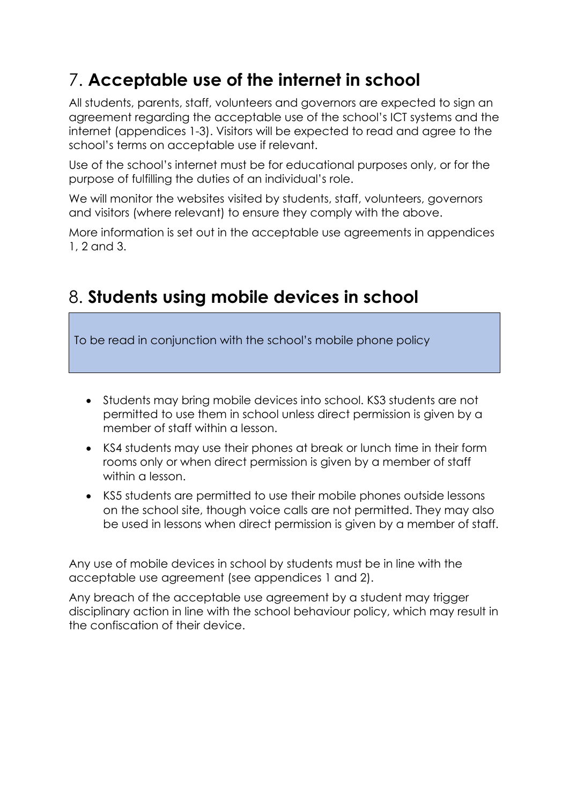# 7. **Acceptable use of the internet in school**

All students, parents, staff, volunteers and governors are expected to sign an agreement regarding the acceptable use of the school's ICT systems and the internet (appendices 1-3). Visitors will be expected to read and agree to the school's terms on acceptable use if relevant.

Use of the school's internet must be for educational purposes only, or for the purpose of fulfilling the duties of an individual's role.

We will monitor the websites visited by students, staff, volunteers, governors and visitors (where relevant) to ensure they comply with the above.

More information is set out in the acceptable use agreements in appendices 1, 2 and 3.

### 8. **Students using mobile devices in school**

To be read in conjunction with the school's mobile phone policy

- Students may bring mobile devices into school. KS3 students are not permitted to use them in school unless direct permission is given by a member of staff within a lesson.
- KS4 students may use their phones at break or lunch time in their form rooms only or when direct permission is given by a member of staff within a lesson.
- KS5 students are permitted to use their mobile phones outside lessons on the school site, though voice calls are not permitted. They may also be used in lessons when direct permission is given by a member of staff.

Any use of mobile devices in school by students must be in line with the acceptable use agreement (see appendices 1 and 2).

Any breach of the acceptable use agreement by a student may trigger disciplinary action in line with the school behaviour policy, which may result in the confiscation of their device.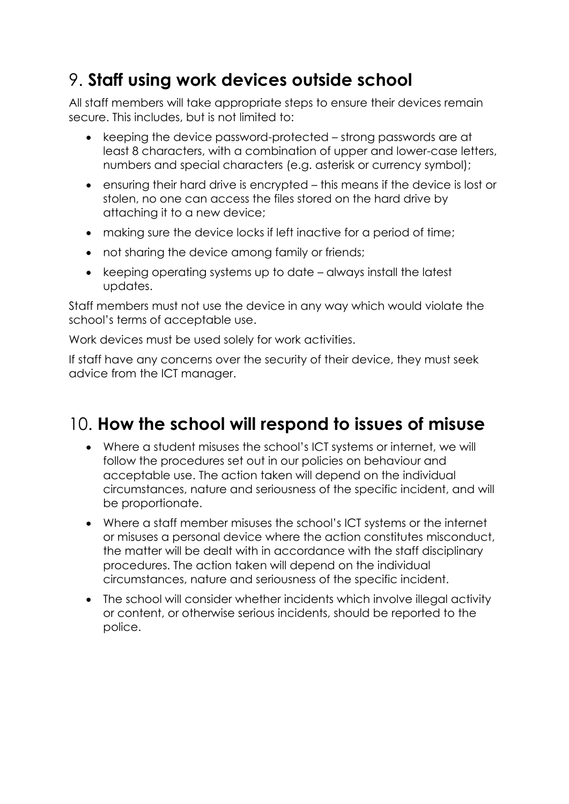### 9. **Staff using work devices outside school**

All staff members will take appropriate steps to ensure their devices remain secure. This includes, but is not limited to:

- keeping the device password-protected strong passwords are at least 8 characters, with a combination of upper and lower-case letters, numbers and special characters (e.g. asterisk or currency symbol);
- ensuring their hard drive is encrypted this means if the device is lost or stolen, no one can access the files stored on the hard drive by attaching it to a new device;
- making sure the device locks if left inactive for a period of time;
- not sharing the device among family or friends;
- keeping operating systems up to date always install the latest updates.

Staff members must not use the device in any way which would violate the school's terms of acceptable use.

Work devices must be used solely for work activities.

If staff have any concerns over the security of their device, they must seek advice from the ICT manager.

### 10. **How the school will respond to issues of misuse**

- Where a student misuses the school's ICT systems or internet, we will follow the procedures set out in our policies on behaviour and acceptable use. The action taken will depend on the individual circumstances, nature and seriousness of the specific incident, and will be proportionate.
- Where a staff member misuses the school's ICT systems or the internet or misuses a personal device where the action constitutes misconduct, the matter will be dealt with in accordance with the staff disciplinary procedures. The action taken will depend on the individual circumstances, nature and seriousness of the specific incident.
- The school will consider whether incidents which involve illegal activity or content, or otherwise serious incidents, should be reported to the police.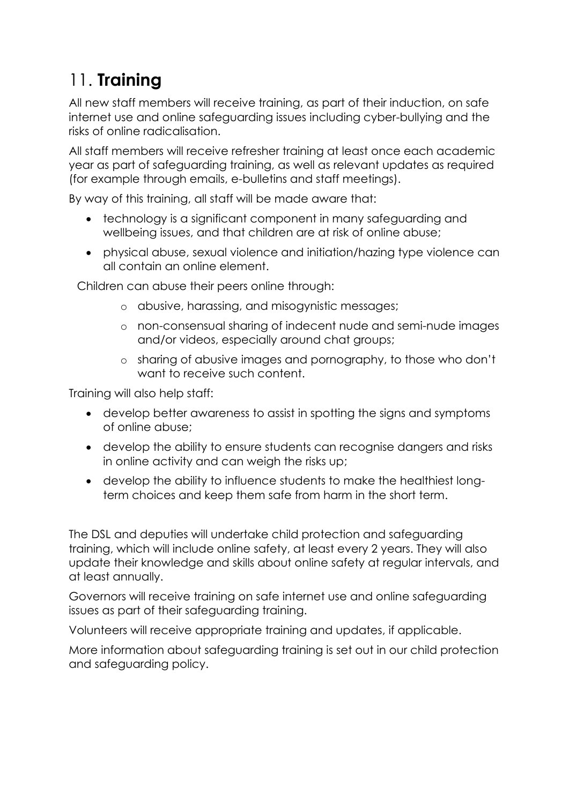# 11. **Training**

All new staff members will receive training, as part of their induction, on safe internet use and online safeguarding issues including cyber-bullying and the risks of online radicalisation.

All staff members will receive refresher training at least once each academic year as part of safeguarding training, as well as relevant updates as required (for example through emails, e-bulletins and staff meetings).

By way of this training, all staff will be made aware that:

- technology is a significant component in many safeguarding and wellbeing issues, and that children are at risk of online abuse;
- physical abuse, sexual violence and initiation/hazing type violence can all contain an online element.

Children can abuse their peers online through:

- o abusive, harassing, and misogynistic messages;
- o non-consensual sharing of indecent nude and semi-nude images and/or videos, especially around chat groups;
- o sharing of abusive images and pornography, to those who don't want to receive such content.

Training will also help staff:

- develop better awareness to assist in spotting the signs and symptoms of online abuse;
- develop the ability to ensure students can recognise dangers and risks in online activity and can weigh the risks up;
- develop the ability to influence students to make the healthiest longterm choices and keep them safe from harm in the short term.

The DSL and deputies will undertake child protection and safeguarding training, which will include online safety, at least every 2 years. They will also update their knowledge and skills about online safety at regular intervals, and at least annually.

Governors will receive training on safe internet use and online safeguarding issues as part of their safeguarding training.

Volunteers will receive appropriate training and updates, if applicable.

More information about safeguarding training is set out in our child protection and safeguarding policy.